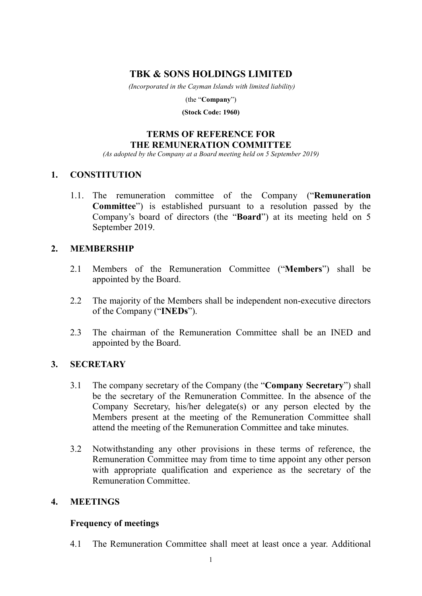# **TBK & SONS HOLDINGS LIMITED**

*(Incorporated in the Cayman Islands with limited liability)* 

(the "**Company**")

**(Stock Code: 1960)** 

# **TERMS OF REFERENCE FOR THE REMUNERATION COMMITTEE**

*(As adopted by the Company at a Board meeting held on 5 September 2019)* 

## **1. CONSTITUTION**

1.1. The remuneration committee of the Company ("**Remuneration Committee**") is established pursuant to a resolution passed by the Company's board of directors (the "**Board**") at its meeting held on 5 September 2019.

## **2. MEMBERSHIP**

- 2.1 Members of the Remuneration Committee ("**Members**") shall be appointed by the Board.
- 2.2 The majority of the Members shall be independent non-executive directors of the Company ("**INEDs**").
- 2.3 The chairman of the Remuneration Committee shall be an INED and appointed by the Board.

## **3. SECRETARY**

- 3.1 The company secretary of the Company (the "**Company Secretary**") shall be the secretary of the Remuneration Committee. In the absence of the Company Secretary, his/her delegate(s) or any person elected by the Members present at the meeting of the Remuneration Committee shall attend the meeting of the Remuneration Committee and take minutes.
- 3.2 Notwithstanding any other provisions in these terms of reference, the Remuneration Committee may from time to time appoint any other person with appropriate qualification and experience as the secretary of the Remuneration Committee.

## **4. MEETINGS**

### **Frequency of meetings**

4.1 The Remuneration Committee shall meet at least once a year. Additional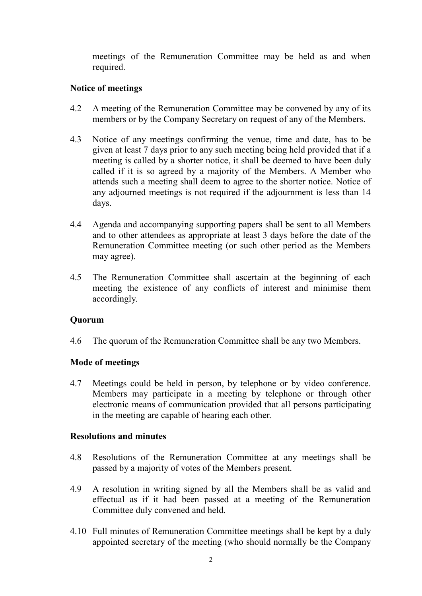meetings of the Remuneration Committee may be held as and when required.

# **Notice of meetings**

- 4.2 A meeting of the Remuneration Committee may be convened by any of its members or by the Company Secretary on request of any of the Members.
- 4.3 Notice of any meetings confirming the venue, time and date, has to be given at least 7 days prior to any such meeting being held provided that if a meeting is called by a shorter notice, it shall be deemed to have been duly called if it is so agreed by a majority of the Members. A Member who attends such a meeting shall deem to agree to the shorter notice. Notice of any adjourned meetings is not required if the adjournment is less than 14 days.
- 4.4 Agenda and accompanying supporting papers shall be sent to all Members and to other attendees as appropriate at least 3 days before the date of the Remuneration Committee meeting (or such other period as the Members may agree).
- 4.5 The Remuneration Committee shall ascertain at the beginning of each meeting the existence of any conflicts of interest and minimise them accordingly.

# **Quorum**

4.6 The quorum of the Remuneration Committee shall be any two Members.

# **Mode of meetings**

4.7 Meetings could be held in person, by telephone or by video conference. Members may participate in a meeting by telephone or through other electronic means of communication provided that all persons participating in the meeting are capable of hearing each other.

## **Resolutions and minutes**

- 4.8 Resolutions of the Remuneration Committee at any meetings shall be passed by a majority of votes of the Members present.
- 4.9 A resolution in writing signed by all the Members shall be as valid and effectual as if it had been passed at a meeting of the Remuneration Committee duly convened and held.
- 4.10 Full minutes of Remuneration Committee meetings shall be kept by a duly appointed secretary of the meeting (who should normally be the Company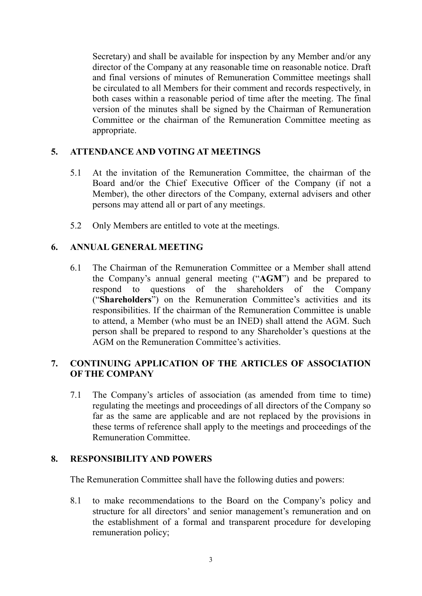Secretary) and shall be available for inspection by any Member and/or any director of the Company at any reasonable time on reasonable notice. Draft and final versions of minutes of Remuneration Committee meetings shall be circulated to all Members for their comment and records respectively, in both cases within a reasonable period of time after the meeting. The final version of the minutes shall be signed by the Chairman of Remuneration Committee or the chairman of the Remuneration Committee meeting as appropriate.

## **5. ATTENDANCE AND VOTING AT MEETINGS**

- 5.1 At the invitation of the Remuneration Committee, the chairman of the Board and/or the Chief Executive Officer of the Company (if not a Member), the other directors of the Company, external advisers and other persons may attend all or part of any meetings.
- 5.2 Only Members are entitled to vote at the meetings.

### **6. ANNUAL GENERAL MEETING**

6.1 The Chairman of the Remuneration Committee or a Member shall attend the Company's annual general meeting ("**AGM**") and be prepared to respond to questions of the shareholders of the Company ("**Shareholders**") on the Remuneration Committee's activities and its responsibilities. If the chairman of the Remuneration Committee is unable to attend, a Member (who must be an INED) shall attend the AGM. Such person shall be prepared to respond to any Shareholder's questions at the AGM on the Remuneration Committee's activities.

## **7. CONTINUING APPLICATION OF THE ARTICLES OF ASSOCIATION OF THE COMPANY**

7.1 The Company's articles of association (as amended from time to time) regulating the meetings and proceedings of all directors of the Company so far as the same are applicable and are not replaced by the provisions in these terms of reference shall apply to the meetings and proceedings of the Remuneration Committee.

### **8. RESPONSIBILITY AND POWERS**

The Remuneration Committee shall have the following duties and powers:

8.1 to make recommendations to the Board on the Company's policy and structure for all directors' and senior management's remuneration and on the establishment of a formal and transparent procedure for developing remuneration policy;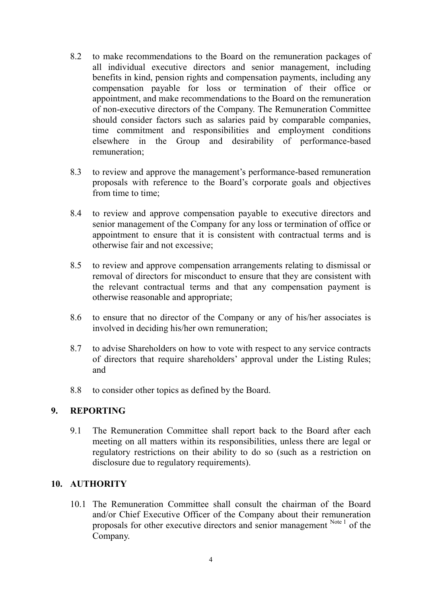- 8.2 to make recommendations to the Board on the remuneration packages of all individual executive directors and senior management, including benefits in kind, pension rights and compensation payments, including any compensation payable for loss or termination of their office or appointment, and make recommendations to the Board on the remuneration of non-executive directors of the Company. The Remuneration Committee should consider factors such as salaries paid by comparable companies, time commitment and responsibilities and employment conditions elsewhere in the Group and desirability of performance-based remuneration;
- 8.3 to review and approve the management's performance-based remuneration proposals with reference to the Board's corporate goals and objectives from time to time;
- 8.4 to review and approve compensation payable to executive directors and senior management of the Company for any loss or termination of office or appointment to ensure that it is consistent with contractual terms and is otherwise fair and not excessive;
- 8.5 to review and approve compensation arrangements relating to dismissal or removal of directors for misconduct to ensure that they are consistent with the relevant contractual terms and that any compensation payment is otherwise reasonable and appropriate;
- 8.6 to ensure that no director of the Company or any of his/her associates is involved in deciding his/her own remuneration;
- 8.7 to advise Shareholders on how to vote with respect to any service contracts of directors that require shareholders' approval under the Listing Rules; and
- 8.8 to consider other topics as defined by the Board.

## **9. REPORTING**

9.1 The Remuneration Committee shall report back to the Board after each meeting on all matters within its responsibilities, unless there are legal or regulatory restrictions on their ability to do so (such as a restriction on disclosure due to regulatory requirements).

## **10. AUTHORITY**

10.1 The Remuneration Committee shall consult the chairman of the Board and/or Chief Executive Officer of the Company about their remuneration proposals for other executive directors and senior management Note 1 of the Company.